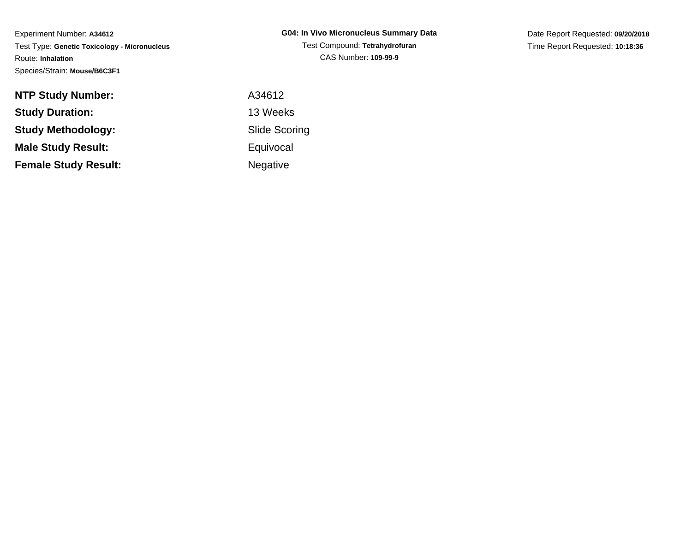Date Report Requested: **09/20/2018**Time Report Requested: **10:18:36**

| <b>NTP Study Number:</b>    | A34612          |
|-----------------------------|-----------------|
| <b>Study Duration:</b>      | 13 Weeks        |
| Study Methodology:          | Slide Scor      |
| <b>Male Study Result:</b>   | Equivocal       |
| <b>Female Study Result:</b> | <b>Negative</b> |

84612 de Scoring **uivocal** egative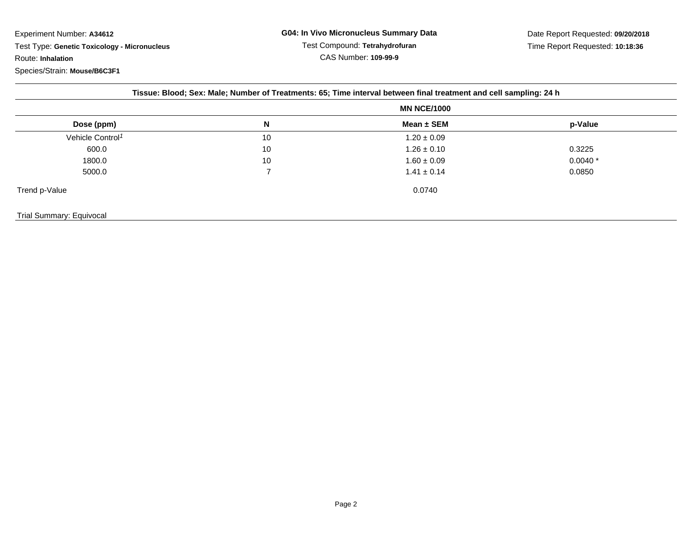| Tissue: Blood; Sex: Male; Number of Treatments: 65; Time interval between final treatment and cell sampling: 24 h |                    |                 |           |  |  |  |
|-------------------------------------------------------------------------------------------------------------------|--------------------|-----------------|-----------|--|--|--|
|                                                                                                                   | <b>MN NCE/1000</b> |                 |           |  |  |  |
| Dose (ppm)                                                                                                        | N                  | Mean ± SEM      | p-Value   |  |  |  |
| Vehicle Control <sup>1</sup>                                                                                      | 10                 | $1.20 \pm 0.09$ |           |  |  |  |
| 600.0                                                                                                             | 10                 | $1.26 \pm 0.10$ | 0.3225    |  |  |  |
| 1800.0                                                                                                            | 10                 | $1.60 \pm 0.09$ | $0.0040*$ |  |  |  |
| 5000.0                                                                                                            |                    | $1.41 \pm 0.14$ | 0.0850    |  |  |  |
| Trend p-Value                                                                                                     |                    | 0.0740          |           |  |  |  |
| Trial Summary: Equivocal                                                                                          |                    |                 |           |  |  |  |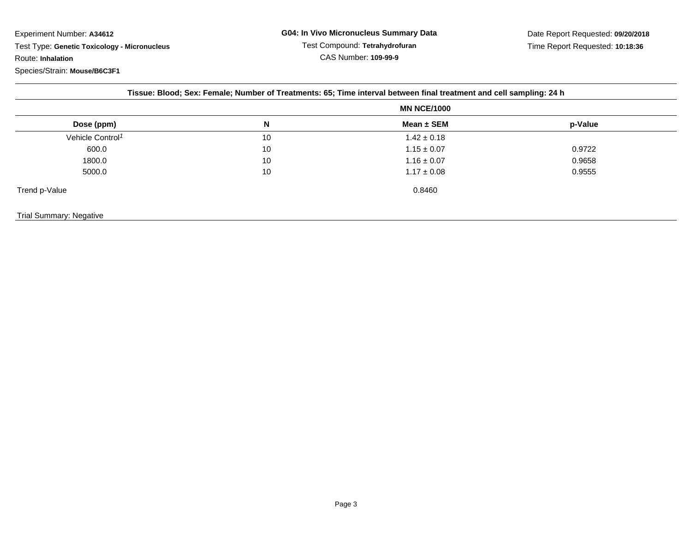| Tissue: Blood; Sex: Female; Number of Treatments: 65; Time interval between final treatment and cell sampling: 24 h |                    |                 |         |  |  |  |
|---------------------------------------------------------------------------------------------------------------------|--------------------|-----------------|---------|--|--|--|
|                                                                                                                     | <b>MN NCE/1000</b> |                 |         |  |  |  |
| Dose (ppm)                                                                                                          | N                  | Mean ± SEM      | p-Value |  |  |  |
| Vehicle Control <sup>1</sup>                                                                                        | 10                 | $1.42 \pm 0.18$ |         |  |  |  |
| 600.0                                                                                                               | 10                 | $1.15 \pm 0.07$ | 0.9722  |  |  |  |
| 1800.0                                                                                                              | 10                 | $1.16 \pm 0.07$ | 0.9658  |  |  |  |
| 5000.0                                                                                                              | 10                 | $1.17 \pm 0.08$ | 0.9555  |  |  |  |
| Trend p-Value                                                                                                       |                    | 0.8460          |         |  |  |  |
|                                                                                                                     |                    |                 |         |  |  |  |

## Trial Summary: Negative